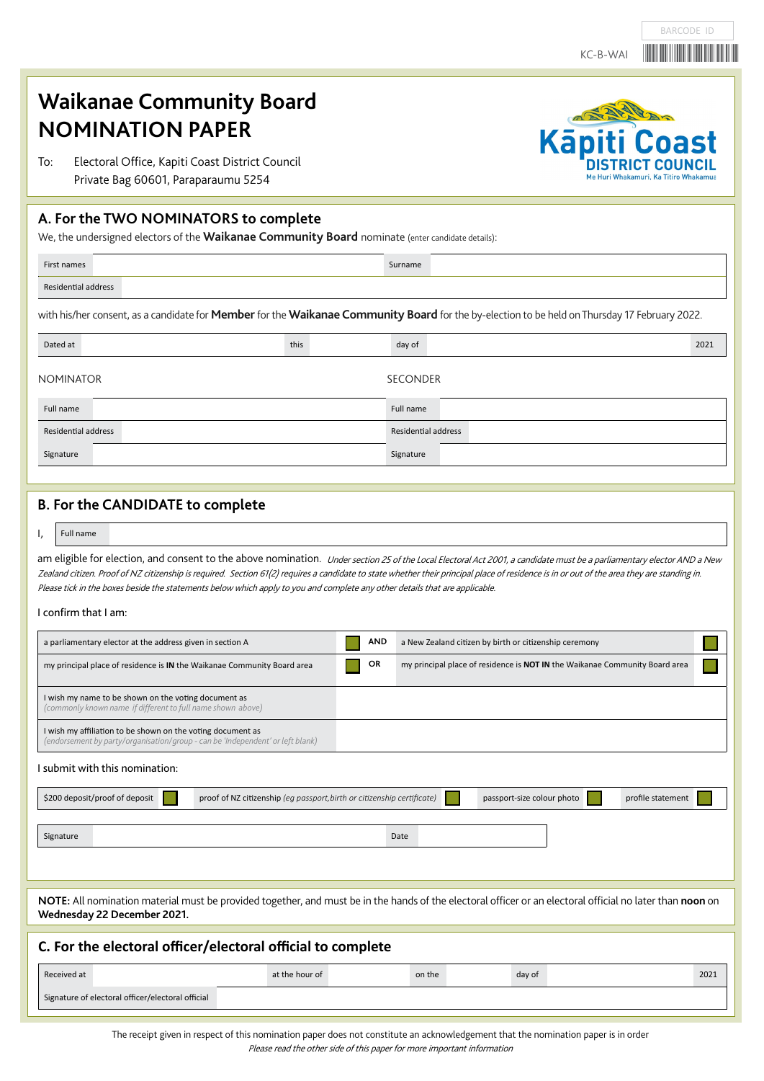# KC-B-WAI<sup>W</sup>

Kāp

BARCODE ID

ast

# **Waikanae Community Board NOMINATION PAPER**

To: Electoral Office, Kapiti Coast District Council Private Bag 60601, Paraparaumu 5254

# **A. For the TWO NOMINATORS to complete**

We, the undersigned electors of the **Waikanae Community Board** nominate (enter candidate details):

| First names                                                                                                                                                 |  | Surname |  |
|-------------------------------------------------------------------------------------------------------------------------------------------------------------|--|---------|--|
| Residential address                                                                                                                                         |  |         |  |
| with his/her consent, as a candidate for <b>Member</b> for the <b>Waikanae Community Board</b> for the by-election to be held on Thursday 17 February 2022. |  |         |  |

| Dated at            | this | day of              | 2021 |
|---------------------|------|---------------------|------|
| <b>NOMINATOR</b>    |      | <b>SECONDER</b>     |      |
| Full name           |      | Full name           |      |
| Residential address |      | Residential address |      |
| Signature           |      | Signature           |      |

# **B. For the CANDIDATE to complete**

I, Full name

am eligible for election, and consent to the above nomination. Under section 25 of the Local Electoral Act 2001, a candidate must be a parliamentary elector AND a New Zealand citizen. Proof of NZ citizenship is required. Section 61(2) requires a candidate to state whether their principal place of residence is in or out of the area they are standing in. Please tick in the boxes beside the statements below which apply to you and complete any other details that are applicable.

#### I confirm that I am:

| a parliamentary elector at the address given in section A                                                                                                                                | <b>AND</b> | a New Zealand citizen by birth or citizenship ceremony                      |  |  |
|------------------------------------------------------------------------------------------------------------------------------------------------------------------------------------------|------------|-----------------------------------------------------------------------------|--|--|
| my principal place of residence is IN the Waikanae Community Board area                                                                                                                  | OR         | my principal place of residence is NOT IN the Waikanae Community Board area |  |  |
| I wish my name to be shown on the voting document as<br>(commonly known name if different to full name shown above)                                                                      |            |                                                                             |  |  |
| I wish my affiliation to be shown on the voting document as<br>(endorsement by party/organisation/group - can be 'Independent' or left blank)                                            |            |                                                                             |  |  |
| I submit with this nomination:                                                                                                                                                           |            |                                                                             |  |  |
| \$200 deposit/proof of deposit<br>proof of NZ citizenship (eg passport, birth or citizenship certificate)                                                                                |            | profile statement<br>passport-size colour photo                             |  |  |
| Date<br>Signature                                                                                                                                                                        |            |                                                                             |  |  |
|                                                                                                                                                                                          |            |                                                                             |  |  |
| NOTE: All nomination material must be provided together, and must be in the hands of the electoral officer or an electoral official no later than noon on<br>Wednesday 22 December 2021. |            |                                                                             |  |  |
| C. For the electoral officer/electoral official to complete                                                                                                                              |            |                                                                             |  |  |
| Received at<br>at the hour of                                                                                                                                                            |            | on the<br>day of<br>2021                                                    |  |  |
| Signature of electoral officer/electoral official                                                                                                                                        |            |                                                                             |  |  |

The receipt given in respect of this nomination paper does not constitute an acknowledgement that the nomination paper is in order

Please read the other side of this paper for more important information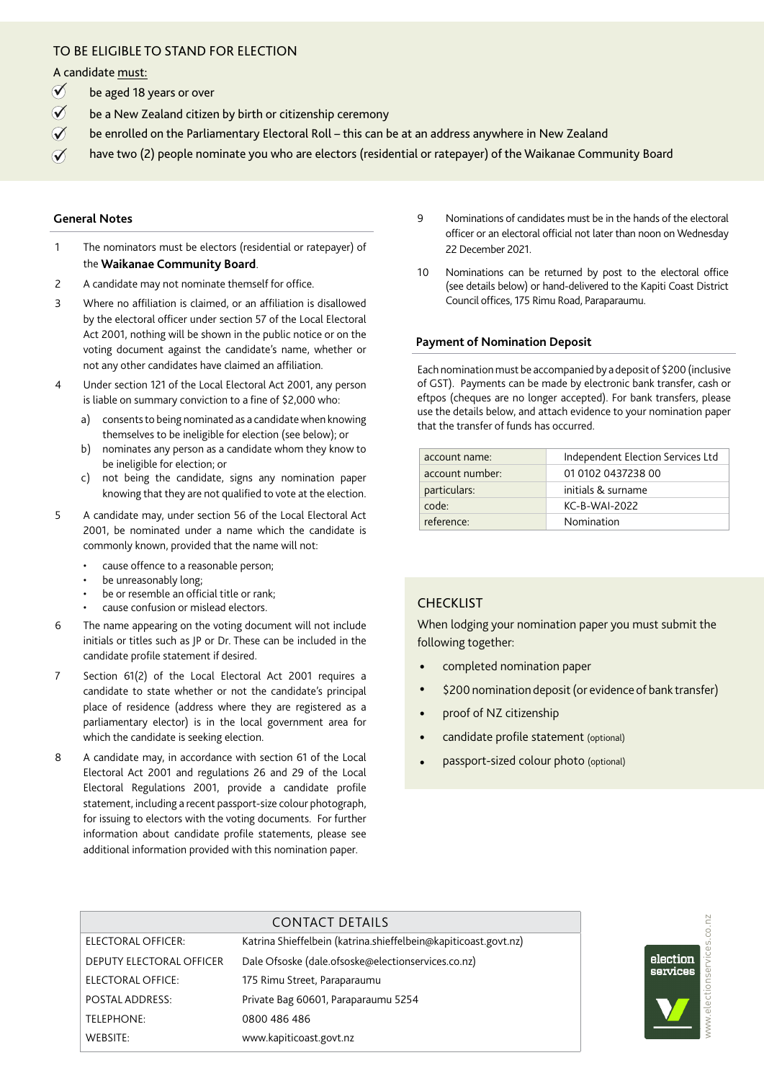# TO BE ELIGIBLE TO STAND FOR ELECTION

A candidate must:

- be aged 18 years or over  $\emptyset$
- be a New Zealand citizen by birth or citizenship ceremony  $\emptyset$
- be enrolled on the Parliamentary Electoral Roll this can be at an address anywhere in New Zealand  $\mathcal{V}$
- have two (2) people nominate you who are electors (residential or ratepayer) of the Waikanae Community Board  $\emptyset$

#### **General Notes**

- 1 The nominators must be electors (residential or ratepayer) of the **Waikanae Community Board**.
- 2 A candidate may not nominate themself for office.
- 3 Where no affiliation is claimed, or an affiliation is disallowed by the electoral officer under section 57 of the Local Electoral Act 2001, nothing will be shown in the public notice or on the voting document against the candidate's name, whether or not any other candidates have claimed an affiliation.
- 4 Under section 121 of the Local Electoral Act 2001, any person is liable on summary conviction to a fine of \$2,000 who:
	- a) consents to being nominated as a candidate when knowing themselves to be ineligible for election (see below); or
	- b) nominates any person as a candidate whom they know to be ineligible for election; or
	- c) not being the candidate, signs any nomination paper knowing that they are not qualified to vote at the election.
- 5 A candidate may, under section 56 of the Local Electoral Act 2001, be nominated under a name which the candidate is commonly known, provided that the name will not:
	- cause offence to a reasonable person;
	- be unreasonably long;
	- be or resemble an official title or rank;
	- cause confusion or mislead electors.
- 6 The name appearing on the voting document will not include initials or titles such as JP or Dr. These can be included in the candidate profile statement if desired.
- 7 Section 61(2) of the Local Electoral Act 2001 requires a candidate to state whether or not the candidate's principal place of residence (address where they are registered as a parliamentary elector) is in the local government area for which the candidate is seeking election.
- 8 A candidate may, in accordance with section 61 of the Local Electoral Act 2001 and regulations 26 and 29 of the Local Electoral Regulations 2001, provide a candidate profile statement, including a recent passport-size colour photograph, for issuing to electors with the voting documents. For further information about candidate profile statements, please see additional information provided with this nomination paper.
- 9 Nominations of candidates must be in the hands of the electoral officer or an electoral official not later than noon on Wednesday 22 December 2021.
- 10 Nominations can be returned by post to the electoral office (see details below) or hand-delivered to the Kapiti Coast District Council offices, 175 Rimu Road, Paraparaumu.

#### **Payment of Nomination Deposit**

Each nomination must be accompanied by a deposit of \$200 (inclusive of GST). Payments can be made by electronic bank transfer, cash or eftpos (cheques are no longer accepted). For bank transfers, please use the details below, and attach evidence to your nomination paper that the transfer of funds has occurred.

| account name:   | Independent Election Services Ltd |
|-----------------|-----------------------------------|
| account number: | 01 0102 0437238 00                |
| particulars:    | initials & surname                |
| code:           | <b>KC-B-WAI-2022</b>              |
| reference:      | Nomination                        |

### **CHECKLIST**

When lodging your nomination paper you must submit the following together:

- completed nomination paper
- \$200 nomination deposit (or evidence of bank transfer)
- proof of NZ citizenship
- candidate profile statement (optional)
- passport-sized colour photo (optional)

|                                 | CONTACT DETAILS                                                 |
|---------------------------------|-----------------------------------------------------------------|
| ELECTORAL OFFICER:              | Katrina Shieffelbein (katrina.shieffelbein@kapiticoast.govt.nz) |
| <b>DEPUTY ELECTORAL OFFICER</b> | Dale Ofsoske (dale.ofsoske@electionservices.co.nz)              |
| ELECTORAL OFFICE:               | 175 Rimu Street, Paraparaumu                                    |
| POSTAL ADDRESS:                 | Private Bag 60601, Paraparaumu 5254                             |
| TELEPHONE:                      | 0800 486 486                                                    |
| WEBSITE:                        | www.kapiticoast.govt.nz                                         |
|                                 |                                                                 |

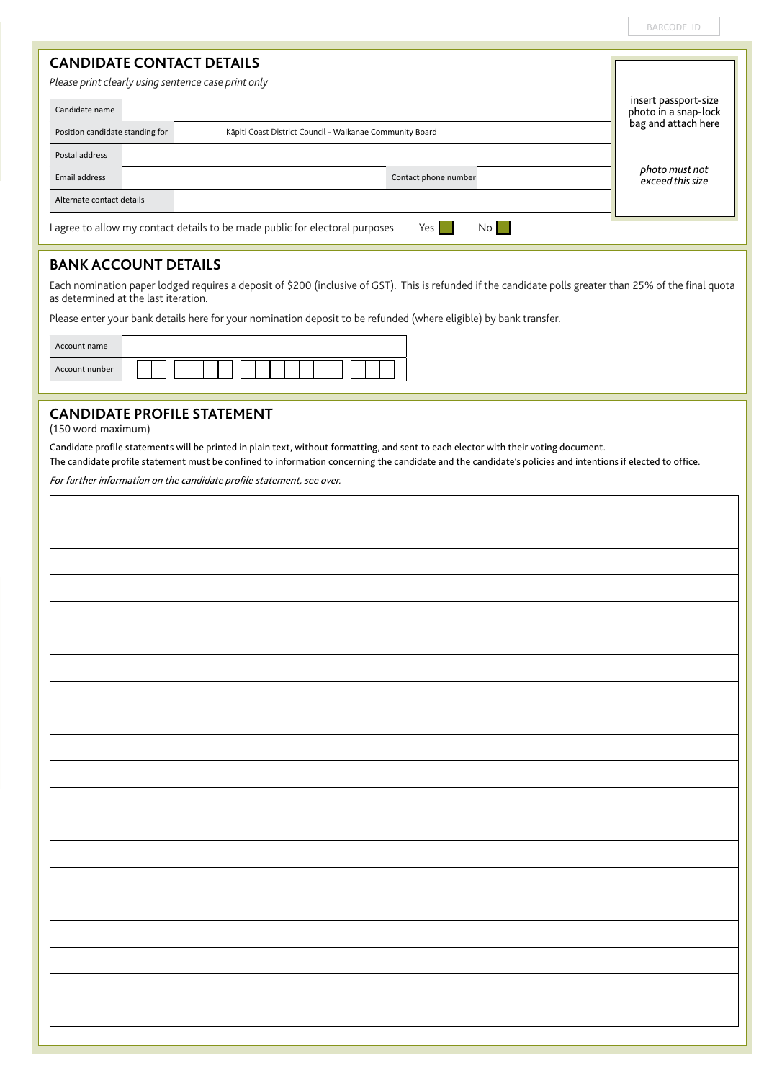BARCODE ID

# **CANDIDATE CONTACT DETAILS**

*Please print clearly using sentence case print only*

| Candidate name                  |                                                                                               | insert passport-size<br>photo in a snap-lock |
|---------------------------------|-----------------------------------------------------------------------------------------------|----------------------------------------------|
| Position candidate standing for | Kāpiti Coast District Council - Waikanae Community Board                                      | bag and attach here                          |
| Postal address                  |                                                                                               |                                              |
| Email address                   | Contact phone number                                                                          | photo must not<br>exceed this size           |
| Alternate contact details       |                                                                                               |                                              |
|                                 | I agree to allow my contact details to be made public for electoral purposes<br>Yes I<br>No l |                                              |

# **BANK ACCOUNT DETAILS**

Each nomination paper lodged requires a deposit of \$200 (inclusive of GST). This is refunded if the candidate polls greater than 25% of the final quota as determined at the last iteration.

Please enter your bank details here for your nomination deposit to be refunded (where eligible) by bank transfer.

| Account name   |  |
|----------------|--|
| Account nunber |  |

# **CANDIDATE PROFILE STATEMENT**

(150 word maximum)

í.

Candidate profile statements will be printed in plain text, without formatting, and sent to each elector with their voting document.

The candidate profile statement must be confined to information concerning the candidate and the candidate's policies and intentions if elected to office.

For further information on the candidate profile statement, see over.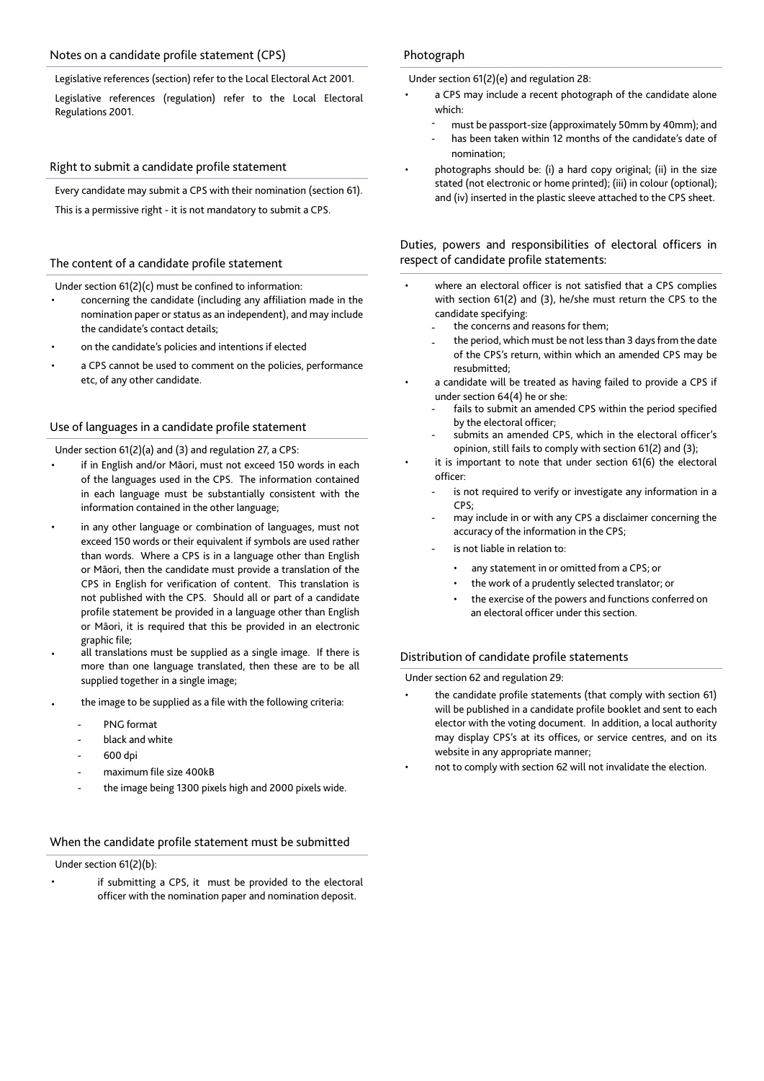#### Notes on a candidate profile statement (CPS)

Legislative references (section) refer to the Local Electoral Act 2001.

Legislative references (regulation) refer to the Local Electoral Regulations 2001.

#### Right to submit a candidate profile statement

Every candidate may submit a CPS with their nomination (section 61). This is a permissive right - it is not mandatory to submit a CPS.

#### The content of a candidate profile statement

Under section 61(2)(c) must be confined to information:

- concerning the candidate (including any affiliation made in the nomination paper or status as an independent), and may include the candidate's contact details;
- on the candidate's policies and intentions if elected
- a CPS cannot be used to comment on the policies, performance etc, of any other candidate.

#### Use of languages in a candidate profile statement

Under section 61(2)(a) and (3) and regulation 27, a CPS:

- if in English and/or Māori, must not exceed 150 words in each of the languages used in the CPS. The information contained in each language must be substantially consistent with the information contained in the other language;
- in any other language or combination of languages, must not exceed 150 words or their equivalent if symbols are used rather than words. Where a CPS is in a language other than English or Māori, then the candidate must provide a translation of the CPS in English for verification of content. This translation is not published with the CPS. Should all or part of a candidate profile statement be provided in a language other than English or Māori, it is required that this be provided in an electronic graphic file;
- all translations must be supplied as a single image. If there is more than one language translated, then these are to be all supplied together in a single image;
- the image to be supplied as a file with the following criteria:
	- PNG format
	- black and white
	- 600 dpi
	- maximum file size 400kB
	- the image being 1300 pixels high and 2000 pixels wide.

#### When the candidate profile statement must be submitted

Under section 61(2)(b):

if submitting a CPS, it must be provided to the electoral officer with the nomination paper and nomination deposit.

#### Photograph

Under section 61(2)(e) and regulation 28:

- a CPS may include a recent photograph of the candidate alone which:
	- must be passport-size (approximately 50mm by 40mm); and
	- has been taken within 12 months of the candidate's date of nomination;
- photographs should be: (i) a hard copy original; (ii) in the size stated (not electronic or home printed); (iii) in colour (optional); and (iv) inserted in the plastic sleeve attached to the CPS sheet.

Duties, powers and responsibilities of electoral officers in respect of candidate profile statements:

- where an electoral officer is not satisfied that a CPS complies with section 61(2) and (3), he/she must return the CPS to the candidate specifying:
	- the concerns and reasons for them;
	- the period, which must be not less than 3 days from the date of the CPS's return, within which an amended CPS may be resubmitted;
- a candidate will be treated as having failed to provide a CPS if under section 64(4) he or she:
	- fails to submit an amended CPS within the period specified by the electoral officer;
	- submits an amended CPS, which in the electoral officer's opinion, still fails to comply with section 61(2) and (3);
- it is important to note that under section 61(6) the electoral officer:
	- is not required to verify or investigate any information in a CPS;
	- may include in or with any CPS a disclaimer concerning the accuracy of the information in the CPS;
	- is not liable in relation to:
		- any statement in or omitted from a CPS; or
		- the work of a prudently selected translator; or
		- the exercise of the powers and functions conferred on an electoral officer under this section.

#### Distribution of candidate profile statements

Under section 62 and regulation 29:

- the candidate profile statements (that comply with section 61) will be published in a candidate profile booklet and sent to each elector with the voting document. In addition, a local authority may display CPS's at its offices, or service centres, and on its website in any appropriate manner;
	- not to comply with section 62 will not invalidate the election.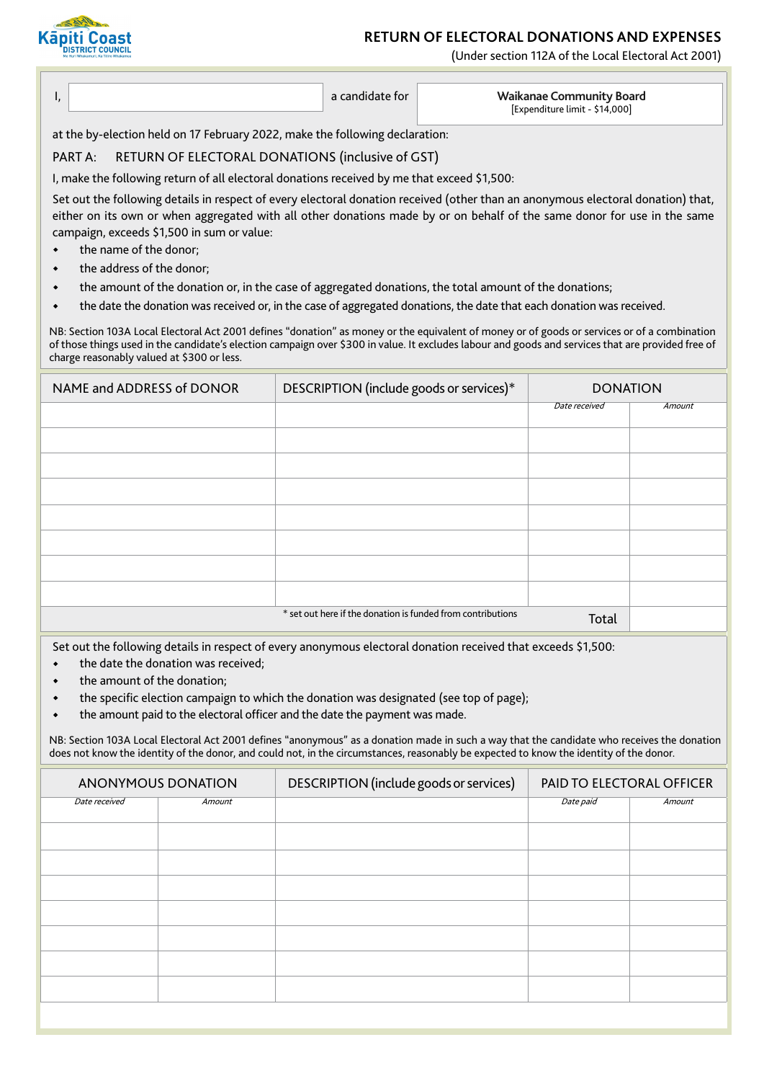# **RETURN OF ELECTORAL DONATIONS AND EXPENSES**

**SALE Kāpiti Coast DISTRICT COUNCIL** 

(Under section 112A of the Local Electoral Act 2001)

 I, a candidate for **Waikanae Community Board** [Expenditure limit - \$14,000]

at the by-election held on 17 February 2022, make the following declaration:

# PART A: RETURN OF ELECTORAL DONATIONS (inclusive of GST)

I, make the following return of all electoral donations received by me that exceed \$1,500:

Set out the following details in respect of every electoral donation received (other than an anonymous electoral donation) that, either on its own or when aggregated with all other donations made by or on behalf of the same donor for use in the same campaign, exceeds \$1,500 in sum or value:

- . the name of the donor;
- . the address of the donor;
- . the amount of the donation or, in the case of aggregated donations, the total amount of the donations;
- . the date the donation was received or, in the case of aggregated donations, the date that each donation was received.

NB: Section 103A Local Electoral Act 2001 defines "donation" as money or the equivalent of money or of goods or services or of a combination of those things used in the candidate's election campaign over \$300 in value. It excludes labour and goods and services that are provided free of charge reasonably valued at \$300 or less.

| NAME and ADDRESS of DONOR | DESCRIPTION (include goods or services)*                    | <b>DONATION</b> |        |
|---------------------------|-------------------------------------------------------------|-----------------|--------|
|                           |                                                             | Date received   | Amount |
|                           |                                                             |                 |        |
|                           |                                                             |                 |        |
|                           |                                                             |                 |        |
|                           |                                                             |                 |        |
|                           |                                                             |                 |        |
|                           |                                                             |                 |        |
|                           |                                                             |                 |        |
|                           | * set out here if the donation is funded from contributions | Total           |        |

Set out the following details in respect of every anonymous electoral donation received that exceeds \$1,500:

- . the date the donation was received;
- the amount of the donation;
- . the specific election campaign to which the donation was designated (see top of page);
- . the amount paid to the electoral officer and the date the payment was made.

NB: Section 103A Local Electoral Act 2001 defines "anonymous" as a donation made in such a way that the candidate who receives the donation does not know the identity of the donor, and could not, in the circumstances, reasonably be expected to know the identity of the donor.

| ANONYMOUS DONATION |        | DESCRIPTION (include goods or services) | PAID TO ELECTORAL OFFICER |        |
|--------------------|--------|-----------------------------------------|---------------------------|--------|
| Date received      | Amount |                                         | Date paid                 | Amount |
|                    |        |                                         |                           |        |
|                    |        |                                         |                           |        |
|                    |        |                                         |                           |        |
|                    |        |                                         |                           |        |
|                    |        |                                         |                           |        |
|                    |        |                                         |                           |        |
|                    |        |                                         |                           |        |
|                    |        |                                         |                           |        |
|                    |        |                                         |                           |        |